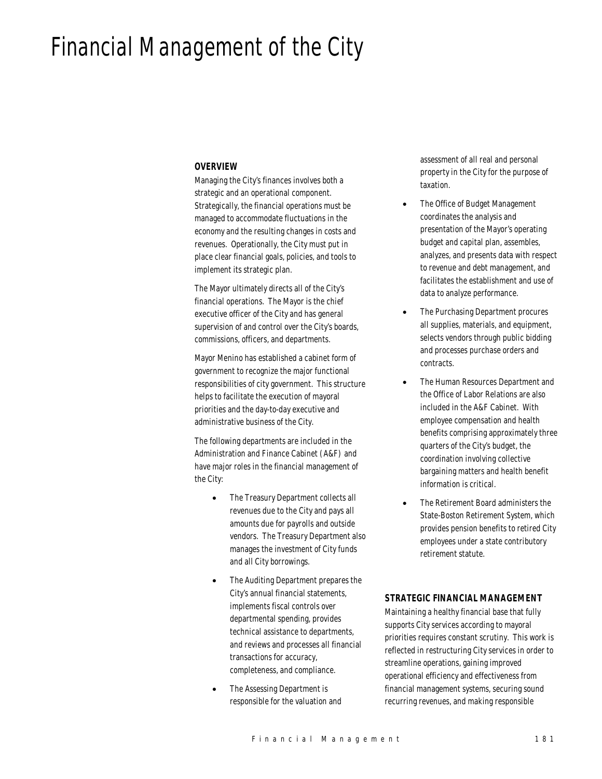# Financial Management of the City

#### *OVERVIEW*

Managing the City's finances involves both a strategic and an operational component. Strategically, the financial operations must be managed to accommodate fluctuations in the economy and the resulting changes in costs and revenues. Operationally, the City must put in place clear financial goals, policies, and tools to implement its strategic plan.

The Mayor ultimately directs all of the City's financial operations. The Mayor is the chief executive officer of the City and has general supervision of and control over the City's boards, commissions, officers, and departments.

Mayor Menino has established a cabinet form of government to recognize the major functional responsibilities of city government. This structure helps to facilitate the execution of mayoral priorities and the day-to-day executive and administrative business of the City.

The following departments are included in the Administration and Finance Cabinet (A&F) and have major roles in the financial management of the City:

- The Treasury Department collects all revenues due to the City and pays all amounts due for payrolls and outside vendors. The Treasury Department also manages the investment of City funds and all City borrowings.
- The Auditing Department prepares the City's annual financial statements, implements fiscal controls over departmental spending, provides technical assistance to departments, and reviews and processes all financial transactions for accuracy, completeness, and compliance.
- The Assessing Department is responsible for the valuation and

assessment of all real and personal property in the City for the purpose of taxation.

- The Office of Budget Management coordinates the analysis and presentation of the Mayor's operating budget and capital plan, assembles, analyzes, and presents data with respect to revenue and debt management, and facilitates the establishment and use of data to analyze performance.
- The Purchasing Department procures all supplies, materials, and equipment, selects vendors through public bidding and processes purchase orders and contracts.
- The Human Resources Department and the Office of Labor Relations are also included in the A&F Cabinet. With employee compensation and health benefits comprising approximately three quarters of the City's budget, the coordination involving collective bargaining matters and health benefit information is critical.
- The Retirement Board administers the State-Boston Retirement System, which provides pension benefits to retired City employees under a state contributory retirement statute.

# *STRATEGIC FINANCIAL MANAGEMENT*

Maintaining a healthy financial base that fully supports City services according to mayoral priorities requires constant scrutiny. This work is reflected in restructuring City services in order to streamline operations, gaining improved operational efficiency and effectiveness from financial management systems, securing sound recurring revenues, and making responsible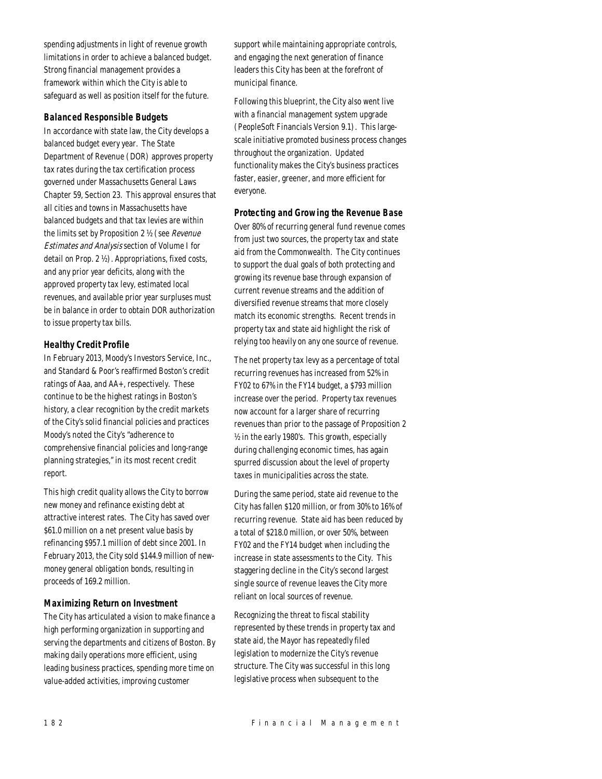spending adjustments in light of revenue growth limitations in order to achieve a balanced budget. Strong financial management provides a framework within which the City is able to safeguard as well as position itself for the future.

#### *Balanced Responsible Budgets*

In accordance with state law, the City develops a balanced budget every year. The State Department of Revenue (DOR) approves property tax rates during the tax certification process governed under Massachusetts General Laws Chapter 59, Section 23. This approval ensures that all cities and towns in Massachusetts have balanced budgets and that tax levies are within the limits set by Proposition 2 ½ (see Revenue Estimates and Analysis section of Volume I for detail on Prop. 2 ½). Appropriations, fixed costs, and any prior year deficits, along with the approved property tax levy, estimated local revenues, and available prior year surpluses must be in balance in order to obtain DOR authorization to issue property tax bills.

#### *Healthy Credit Profile*

In February 2013, Moody's Investors Service, Inc., and Standard & Poor's reaffirmed Boston's credit ratings of Aaa, and AA+, respectively. These continue to be the highest ratings in Boston's history, a clear recognition by the credit markets of the City's solid financial policies and practices Moody's noted the City's "adherence to comprehensive financial policies and long-range planning strategies," in its most recent credit report.

This high credit quality allows the City to borrow new money and refinance existing debt at attractive interest rates. The City has saved over \$61.0 million on a net present value basis by refinancing \$957.1 million of debt since 2001. In February 2013, the City sold \$144.9 million of newmoney general obligation bonds, resulting in proceeds of 169.2 million.

# *Maximizing Return on Investment*

The City has articulated a vision to make finance a high performing organization in supporting and serving the departments and citizens of Boston. By making daily operations more efficient, using leading business practices, spending more time on value-added activities, improving customer

support while maintaining appropriate controls, and engaging the next generation of finance leaders this City has been at the forefront of municipal finance.

Following this blueprint, the City also went live with a financial management system upgrade (PeopleSoft Financials Version 9.1). This largescale initiative promoted business process changes throughout the organization. Updated functionality makes the City's business practices faster, easier, greener, and more efficient for everyone.

#### *Protecting and Growing the Revenue Base*

Over 80% of recurring general fund revenue comes from just two sources, the property tax and state aid from the Commonwealth. The City continues to support the dual goals of both protecting and growing its revenue base through expansion of current revenue streams and the addition of diversified revenue streams that more closely match its economic strengths. Recent trends in property tax and state aid highlight the risk of relying too heavily on any one source of revenue.

The net property tax levy as a percentage of total recurring revenues has increased from 52% in FY02 to 67% in the FY14 budget, a \$793 million increase over the period. Property tax revenues now account for a larger share of recurring revenues than prior to the passage of Proposition 2 ½ in the early 1980's. This growth, especially during challenging economic times, has again spurred discussion about the level of property taxes in municipalities across the state.

During the same period, state aid revenue to the City has fallen \$120 million, or from 30% to 16% of recurring revenue. State aid has been reduced by a total of \$218.0 million, or over 50%, between FY02 and the FY14 budget when including the increase in state assessments to the City. This staggering decline in the City's second largest single source of revenue leaves the City more reliant on local sources of revenue.

Recognizing the threat to fiscal stability represented by these trends in property tax and state aid, the Mayor has repeatedly filed legislation to modernize the City's revenue structure. The City was successful in this long legislative process when subsequent to the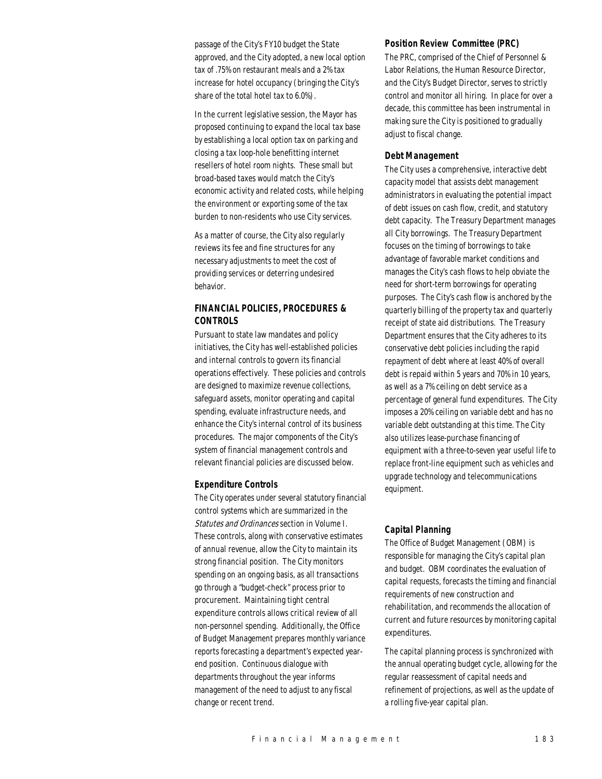passage of the City's FY10 budget the State approved, and the City adopted, a new local option tax of .75% on restaurant meals and a 2% tax increase for hotel occupancy (bringing the City's share of the total hotel tax to 6.0%).

In the current legislative session, the Mayor has proposed continuing to expand the local tax base by establishing a local option tax on parking and closing a tax loop-hole benefitting internet resellers of hotel room nights. These small but broad-based taxes would match the City's economic activity and related costs, while helping the environment or exporting some of the tax burden to non-residents who use City services.

As a matter of course, the City also regularly reviews its fee and fine structures for any necessary adjustments to meet the cost of providing services or deterring undesired behavior.

# *FINANCIAL POLICIES, PROCEDURES & CONTROLS*

Pursuant to state law mandates and policy initiatives, the City has well-established policies and internal controls to govern its financial operations effectively. These policies and controls are designed to maximize revenue collections, safeguard assets, monitor operating and capital spending, evaluate infrastructure needs, and enhance the City's internal control of its business procedures. The major components of the City's system of financial management controls and relevant financial policies are discussed below.

#### *Expenditure Controls*

The City operates under several statutory financial control systems which are summarized in the Statutes and Ordinances section in Volume I. These controls, along with conservative estimates of annual revenue, allow the City to maintain its strong financial position. The City monitors spending on an ongoing basis, as all transactions go through a "budget-check" process prior to procurement. Maintaining tight central expenditure controls allows critical review of all non-personnel spending. Additionally, the Office of Budget Management prepares monthly variance reports forecasting a department's expected yearend position. Continuous dialogue with departments throughout the year informs management of the need to adjust to any fiscal change or recent trend.

#### *Position Review Committee (PRC)*

The PRC, comprised of the Chief of Personnel & Labor Relations, the Human Resource Director, and the City's Budget Director, serves to strictly control and monitor all hiring. In place for over a decade, this committee has been instrumental in making sure the City is positioned to gradually adjust to fiscal change.

#### *Debt Management*

The City uses a comprehensive, interactive debt capacity model that assists debt management administrators in evaluating the potential impact of debt issues on cash flow, credit, and statutory debt capacity. The Treasury Department manages all City borrowings. The Treasury Department focuses on the timing of borrowings to take advantage of favorable market conditions and manages the City's cash flows to help obviate the need for short-term borrowings for operating purposes. The City's cash flow is anchored by the quarterly billing of the property tax and quarterly receipt of state aid distributions. The Treasury Department ensures that the City adheres to its conservative debt policies including the rapid repayment of debt where at least 40% of overall debt is repaid within 5 years and 70% in 10 years, as well as a 7% ceiling on debt service as a percentage of general fund expenditures. The City imposes a 20% ceiling on variable debt and has no variable debt outstanding at this time. The City also utilizes lease-purchase financing of equipment with a three-to-seven year useful life to replace front-line equipment such as vehicles and upgrade technology and telecommunications equipment.

#### *Capital Planning*

The Office of Budget Management (OBM) is responsible for managing the City's capital plan and budget. OBM coordinates the evaluation of capital requests, forecasts the timing and financial requirements of new construction and rehabilitation, and recommends the allocation of current and future resources by monitoring capital expenditures.

The capital planning process is synchronized with the annual operating budget cycle, allowing for the regular reassessment of capital needs and refinement of projections, as well as the update of a rolling five-year capital plan.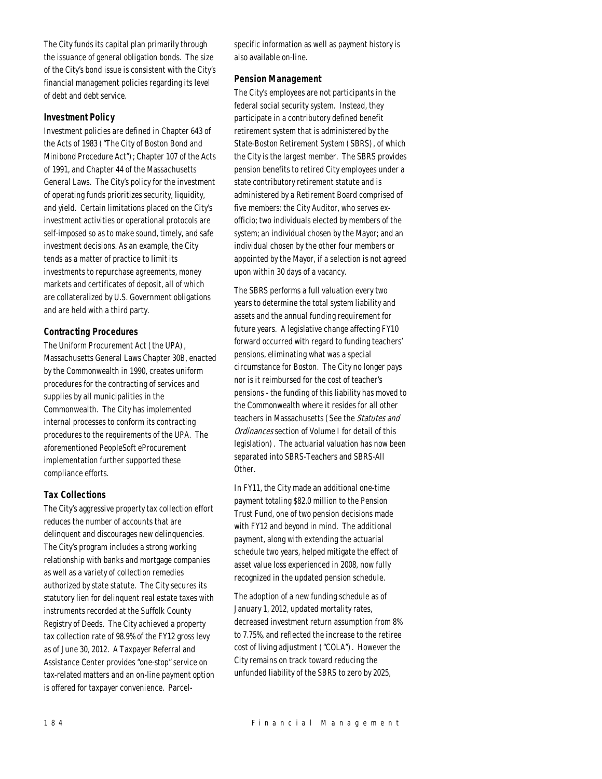The City funds its capital plan primarily through the issuance of general obligation bonds. The size of the City's bond issue is consistent with the City's financial management policies regarding its level of debt and debt service.

#### *Investment Policy*

Investment policies are defined in Chapter 643 of the Acts of 1983 ("The City of Boston Bond and Minibond Procedure Act"); Chapter 107 of the Acts of 1991, and Chapter 44 of the Massachusetts General Laws. The City's policy for the investment of operating funds prioritizes security, liquidity, and yield. Certain limitations placed on the City's investment activities or operational protocols are self-imposed so as to make sound, timely, and safe investment decisions. As an example, the City tends as a matter of practice to limit its investments to repurchase agreements, money markets and certificates of deposit, all of which are collateralized by U.S. Government obligations and are held with a third party.

#### *Contracting Procedures*

The Uniform Procurement Act (the UPA), Massachusetts General Laws Chapter 30B, enacted by the Commonwealth in 1990, creates uniform procedures for the contracting of services and supplies by all municipalities in the Commonwealth. The City has implemented internal processes to conform its contracting procedures to the requirements of the UPA. The aforementioned PeopleSoft eProcurement implementation further supported these compliance efforts.

# *Tax Collections*

The City's aggressive property tax collection effort reduces the number of accounts that are delinquent and discourages new delinquencies. The City's program includes a strong working relationship with banks and mortgage companies as well as a variety of collection remedies authorized by state statute. The City secures its statutory lien for delinquent real estate taxes with instruments recorded at the Suffolk County Registry of Deeds. The City achieved a property tax collection rate of 98.9% of the FY12 gross levy as of June 30, 2012. A Taxpayer Referral and Assistance Center provides "one-stop" service on tax-related matters and an on-line payment option is offered for taxpayer convenience. Parcelspecific information as well as payment history is also available on-line.

#### *Pension Management*

The City's employees are not participants in the federal social security system. Instead, they participate in a contributory defined benefit retirement system that is administered by the State-Boston Retirement System (SBRS), of which the City is the largest member. The SBRS provides pension benefits to retired City employees under a state contributory retirement statute and is administered by a Retirement Board comprised of five members: the City Auditor, who serves exofficio; two individuals elected by members of the system; an individual chosen by the Mayor; and an individual chosen by the other four members or appointed by the Mayor, if a selection is not agreed upon within 30 days of a vacancy.

The SBRS performs a full valuation every two years to determine the total system liability and assets and the annual funding requirement for future years. A legislative change affecting FY10 forward occurred with regard to funding teachers' pensions, eliminating what was a special circumstance for Boston. The City no longer pays nor is it reimbursed for the cost of teacher's pensions - the funding of this liability has moved to the Commonwealth where it resides for all other teachers in Massachusetts (See the Statutes and Ordinances section of Volume I for detail of this legislation). The actuarial valuation has now been separated into SBRS-Teachers and SBRS-All Other.

In FY11, the City made an additional one-time payment totaling \$82.0 million to the Pension Trust Fund, one of two pension decisions made with FY12 and beyond in mind. The additional payment, along with extending the actuarial schedule two years, helped mitigate the effect of asset value loss experienced in 2008, now fully recognized in the updated pension schedule.

The adoption of a new funding schedule as of January 1, 2012, updated mortality rates, decreased investment return assumption from 8% to 7.75%, and reflected the increase to the retiree cost of living adjustment ("COLA"). However the City remains on track toward reducing the unfunded liability of the SBRS to zero by 2025,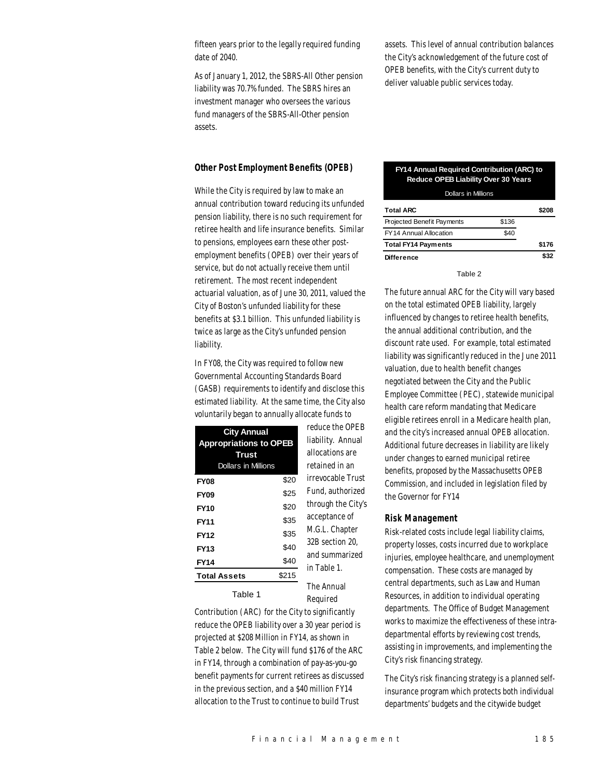fifteen years prior to the legally required funding date of 2040.

As of January 1, 2012, the SBRS-All Other pension liability was 70.7% funded. The SBRS hires an investment manager who oversees the various fund managers of the SBRS-All-Other pension assets.

assets. This level of annual contribution balances the City's acknowledgement of the future cost of OPEB benefits, with the City's current duty to deliver valuable public services today.

# *Other Post Employment Benefits (OPEB)*

While the City is required by law to make an annual contribution toward reducing its unfunded pension liability, there is no such requirement for retiree health and life insurance benefits. Similar to pensions, employees earn these other postemployment benefits (OPEB) over their years of service, but do not actually receive them until retirement. The most recent independent actuarial valuation, as of June 30, 2011, valued the City of Boston's unfunded liability for these benefits at \$3.1 billion. This unfunded liability is twice as large as the City's unfunded pension liability.

In FY08, the City was required to follow new Governmental Accounting Standards Board (GASB) requirements to identify and disclose this estimated liability. At the same time, the City also voluntarily began to annually allocate funds to

| <b>City Annual</b><br><b>Appropriations to OPEB</b><br><b>Trust</b><br><b>Dollars in Millions</b> |       | reduce the OPEB<br>liability. Annual<br>allocations are<br>retained in an |
|---------------------------------------------------------------------------------------------------|-------|---------------------------------------------------------------------------|
| <b>FY08</b>                                                                                       | \$20  | irrevocable Trust                                                         |
| <b>FY09</b>                                                                                       | \$25  | Fund. authorized                                                          |
| FY10                                                                                              | \$20  | through the City's                                                        |
| FY11                                                                                              | \$35  | acceptance of                                                             |
| FY12                                                                                              | \$35  | M.G.L. Chapter                                                            |
| <b>FY13</b>                                                                                       | \$40  | 32B section 20.<br>and summarized                                         |
| FY14                                                                                              | \$40  | in Table 1.                                                               |
| <b>Total Assets</b>                                                                               | \$215 |                                                                           |
|                                                                                                   |       | The Annual                                                                |

Table 1

liability. Annual allocations are retained in an irrevocable Trust Fund, authorized through the City's acceptance of M.G.L. Chapter 32B section 20, and summarized in Table 1. The Annual Required

Contribution (ARC) for the City to significantly reduce the OPEB liability over a 30 year period is projected at \$208 Million in FY14, as shown in Table 2 below. The City will fund \$176 of the ARC in FY14, through a combination of pay-as-you-go benefit payments for current retirees as discussed in the previous section, and a \$40 million FY14 allocation to the Trust to continue to build Trust

#### **FY14 Annual Required Contribution (ARC) to Reduce OPEB Liability Over 30 Years** Dollare in Mil

| -----------------          |       |       |
|----------------------------|-------|-------|
| <b>Total ARC</b>           |       | \$208 |
| Projected Benefit Payments | \$136 |       |
| FY14 Annual Allocation     | \$40  |       |
| <b>Total FY14 Payments</b> |       | \$176 |
| <b>Difference</b>          |       | \$32  |

Table 2

The future annual ARC for the City will vary based on the total estimated OPEB liability, largely influenced by changes to retiree health benefits, the annual additional contribution, and the discount rate used. For example, total estimated liability was significantly reduced in the June 2011 valuation, due to health benefit changes negotiated between the City and the Public Employee Committee (PEC), statewide municipal health care reform mandating that Medicare eligible retirees enroll in a Medicare health plan, and the city's increased annual OPEB allocation. Additional future decreases in liability are likely under changes to earned municipal retiree benefits, proposed by the Massachusetts OPEB Commission, and included in legislation filed by the Governor for FY14

#### *Risk Management*

Risk-related costs include legal liability claims, property losses, costs incurred due to workplace injuries, employee healthcare, and unemployment compensation. These costs are managed by central departments, such as Law and Human Resources, in addition to individual operating departments. The Office of Budget Management works to maximize the effectiveness of these intradepartmental efforts by reviewing cost trends, assisting in improvements, and implementing the City's risk financing strategy.

The City's risk financing strategy is a planned selfinsurance program which protects both individual departments' budgets and the citywide budget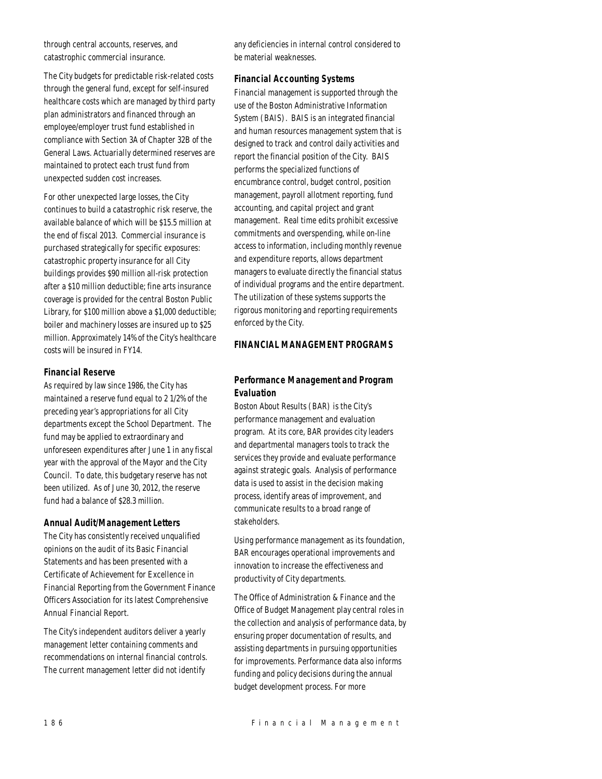through central accounts, reserves, and catastrophic commercial insurance.

The City budgets for predictable risk-related costs through the general fund, except for self-insured healthcare costs which are managed by third party plan administrators and financed through an employee/employer trust fund established in compliance with Section 3A of Chapter 32B of the General Laws. Actuarially determined reserves are maintained to protect each trust fund from unexpected sudden cost increases.

For other unexpected large losses, the City continues to build a catastrophic risk reserve, the available balance of which will be \$15.5 million at the end of fiscal 2013. Commercial insurance is purchased strategically for specific exposures: catastrophic property insurance for all City buildings provides \$90 million all-risk protection after a \$10 million deductible; fine arts insurance coverage is provided for the central Boston Public Library, for \$100 million above a \$1,000 deductible; boiler and machinery losses are insured up to \$25 million. Approximately 14% of the City's healthcare costs will be insured in FY14.

#### *Financial Reserve*

As required by law since 1986, the City has maintained a reserve fund equal to 2 1/2% of the preceding year's appropriations for all City departments except the School Department. The fund may be applied to extraordinary and unforeseen expenditures after June 1 in any fiscal year with the approval of the Mayor and the City Council. To date, this budgetary reserve has not been utilized. As of June 30, 2012, the reserve fund had a balance of \$28.3 million.

#### *Annual Audit/Management Letters*

The City has consistently received unqualified opinions on the audit of its Basic Financial Statements and has been presented with a Certificate of Achievement for Excellence in Financial Reporting from the Government Finance Officers Association for its latest Comprehensive Annual Financial Report.

The City's independent auditors deliver a yearly management letter containing comments and recommendations on internal financial controls. The current management letter did not identify

any deficiencies in internal control considered to be material weaknesses.

#### *Financial Accounting Systems*

Financial management is supported through the use of the Boston Administrative Information System (BAIS). BAIS is an integrated financial and human resources management system that is designed to track and control daily activities and report the financial position of the City. BAIS performs the specialized functions of encumbrance control, budget control, position management, payroll allotment reporting, fund accounting, and capital project and grant management. Real time edits prohibit excessive commitments and overspending, while on-line access to information, including monthly revenue and expenditure reports, allows department managers to evaluate directly the financial status of individual programs and the entire department. The utilization of these systems supports the rigorous monitoring and reporting requirements enforced by the City.

# *FINANCIAL MANAGEMENT PROGRAMS*

# *Performance Management and Program Evaluation*

Boston About Results (BAR) is the City's performance management and evaluation program. At its core, BAR provides city leaders and departmental managers tools to track the services they provide and evaluate performance against strategic goals. Analysis of performance data is used to assist in the decision making process, identify areas of improvement, and communicate results to a broad range of stakeholders.

Using performance management as its foundation, BAR encourages operational improvements and innovation to increase the effectiveness and productivity of City departments.

The Office of Administration & Finance and the Office of Budget Management play central roles in the collection and analysis of performance data, by ensuring proper documentation of results, and assisting departments in pursuing opportunities for improvements. Performance data also informs funding and policy decisions during the annual budget development process. For more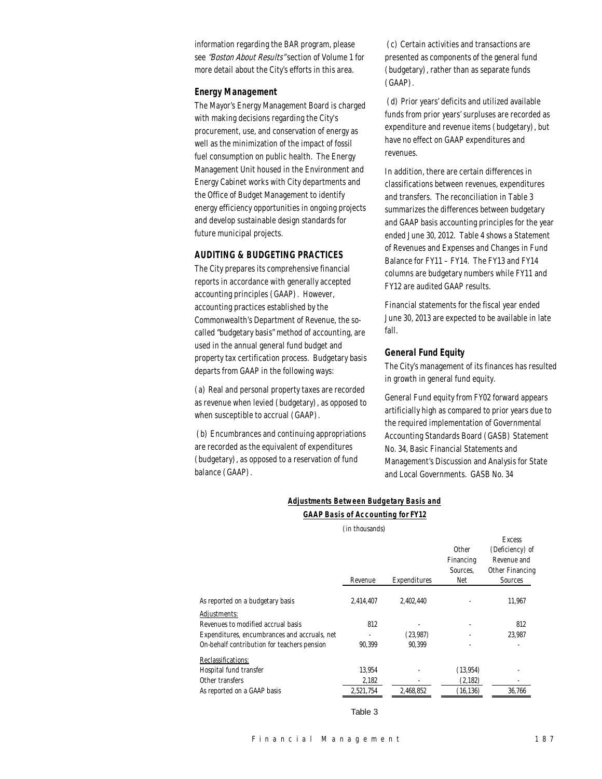information regarding the BAR program, please see "Boston About Results" section of Volume 1 for more detail about the City's efforts in this area.

#### *Energy Management*

The Mayor's Energy Management Board is charged with making decisions regarding the City's procurement, use, and conservation of energy as well as the minimization of the impact of fossil fuel consumption on public health. The Energy Management Unit housed in the Environment and Energy Cabinet works with City departments and the Office of Budget Management to identify energy efficiency opportunities in ongoing projects and develop sustainable design standards for future municipal projects.

# *AUDITING & BUDGETING PRACTICES*

The City prepares its comprehensive financial reports in accordance with generally accepted accounting principles (GAAP). However, accounting practices established by the Commonwealth's Department of Revenue, the socalled "budgetary basis" method of accounting, are used in the annual general fund budget and property tax certification process. Budgetary basis departs from GAAP in the following ways:

(a) Real and personal property taxes are recorded as revenue when levied (budgetary), as opposed to when susceptible to accrual (GAAP).

 (b) Encumbrances and continuing appropriations are recorded as the equivalent of expenditures (budgetary), as opposed to a reservation of fund balance (GAAP).

 (c) Certain activities and transactions are presented as components of the general fund (budgetary), rather than as separate funds (GAAP).

 (d) Prior years' deficits and utilized available funds from prior years' surpluses are recorded as expenditure and revenue items (budgetary), but have no effect on GAAP expenditures and revenues.

In addition, there are certain differences in classifications between revenues, expenditures and transfers. The reconciliation in Table 3 summarizes the differences between budgetary and GAAP basis accounting principles for the year ended June 30, 2012. Table 4 shows a Statement of Revenues and Expenses and Changes in Fund Balance for FY11 – FY14. The FY13 and FY14 columns are budgetary numbers while FY11 and FY12 are audited GAAP results.

Financial statements for the fiscal year ended June 30, 2013 are expected to be available in late fall.

#### *General Fund Equity*

The City's management of its finances has resulted in growth in general fund equity.

General Fund equity from FY02 forward appears artificially high as compared to prior years due to the required implementation of Governmental Accounting Standards Board (GASB) Statement No. 34, Basic Financial Statements and Management's Discussion and Analysis for State and Local Governments. GASB No. 34

|  | Adiustments Between Budaetarv Basis and  |  |  |  |
|--|------------------------------------------|--|--|--|
|  | <b>GAAP Basis of Accounting for FY12</b> |  |  |  |

(in thousands)

|                                              |           |              |              | <b>Excess</b>   |
|----------------------------------------------|-----------|--------------|--------------|-----------------|
|                                              |           |              | <b>Other</b> | (Deficiency) of |
|                                              |           |              | Financing    | Revenue and     |
|                                              |           |              | Sources.     | Other Financing |
|                                              | Revenue   | Expenditures | Net          | Sources         |
| As reported on a budgetary basis             | 2,414,407 | 2,402,440    |              | 11,967          |
| Adjustments:                                 |           |              |              |                 |
| Revenues to modified accrual basis           | 812       |              | ٠            | 812             |
| Expenditures, encumbrances and accruals, net |           | (23, 987)    |              | 23.987          |
| On-behalf contribution for teachers pension  | 90.399    | 90.399       |              |                 |
| Reclassifications:                           |           |              |              |                 |
| Hospital fund transfer                       | 13,954    |              | (13, 954)    |                 |
| Other transfers                              | 2,182     |              | (2, 182)     |                 |
| As reported on a GAAP basis                  | 2,521,754 | 2.468.852    | (16, 136)    | 36.766          |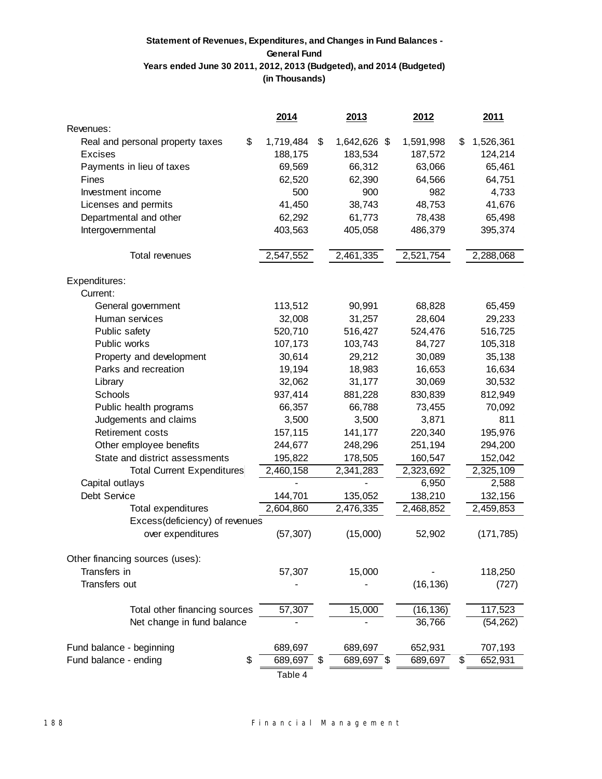# **Statement of Revenues, Expenditures, and Changes in Fund Balances - General Fund Years ended June 30 2011, 2012, 2013 (Budgeted), and 2014 (Budgeted) (in Thousands)**

|                                   | 2014            | 2013               | 2012      | <u>2011</u>     |
|-----------------------------------|-----------------|--------------------|-----------|-----------------|
| Revenues:                         |                 |                    |           |                 |
| Real and personal property taxes  | \$<br>1,719,484 | \$<br>1,642,626 \$ | 1,591,998 | \$<br>1,526,361 |
| <b>Excises</b>                    | 188,175         | 183,534            | 187,572   | 124,214         |
| Payments in lieu of taxes         | 69,569          | 66,312             | 63,066    | 65,461          |
| Fines                             | 62,520          | 62,390             | 64,566    | 64,751          |
| Investment income                 | 500             | 900                | 982       | 4,733           |
| Licenses and permits              | 41,450          | 38,743             | 48,753    | 41,676          |
| Departmental and other            | 62,292          | 61,773             | 78,438    | 65,498          |
| Intergovernmental                 | 403,563         | 405,058            | 486,379   | 395,374         |
|                                   |                 |                    |           |                 |
| Total revenues                    | 2,547,552       | 2,461,335          | 2,521,754 | 2,288,068       |
| Expenditures:                     |                 |                    |           |                 |
| Current:                          |                 |                    |           |                 |
| General government                | 113,512         | 90,991             | 68,828    | 65,459          |
| Human services                    | 32,008          | 31,257             | 28,604    | 29,233          |
| Public safety                     | 520,710         | 516,427            | 524,476   | 516,725         |
| Public works                      | 107,173         | 103,743            | 84,727    | 105,318         |
| Property and development          | 30,614          | 29,212             | 30,089    | 35,138          |
| Parks and recreation              | 19,194          | 18,983             | 16,653    | 16,634          |
| Library                           | 32,062          | 31,177             | 30,069    | 30,532          |
| Schools                           | 937,414         | 881,228            | 830,839   | 812,949         |
| Public health programs            | 66,357          | 66,788             | 73,455    | 70,092          |
| Judgements and claims             | 3,500           | 3,500              | 3,871     | 811             |
| Retirement costs                  | 157,115         | 141,177            | 220,340   | 195,976         |
| Other employee benefits           | 244,677         | 248,296            | 251,194   | 294,200         |
| State and district assessments    | 195,822         | 178,505            | 160,547   | 152,042         |
| <b>Total Current Expenditures</b> | 2,460,158       | 2,341,283          | 2,323,692 | 2,325,109       |
| Capital outlays                   |                 |                    | 6,950     | 2,588           |
| Debt Service                      | 144,701         | 135,052            | 138,210   | 132,156         |
| Total expenditures                | 2,604,860       | 2,476,335          | 2,468,852 | 2,459,853       |
| Excess(deficiency) of revenues    |                 |                    |           |                 |
| over expenditures                 | (57, 307)       | (15,000)           | 52,902    | (171, 785)      |
| Other financing sources (uses):   |                 |                    |           |                 |
| Transfers in                      | 57,307          | 15,000             |           | 118,250         |
| Transfers out                     |                 |                    | (16, 136) | (727)           |
| Total other financing sources     | 57,307          | 15,000             | (16, 136) | 117,523         |
| Net change in fund balance        |                 |                    | 36,766    | (54, 262)       |
| Fund balance - beginning          | 689,697         | 689,697            | 652,931   | 707,193         |
| Fund balance - ending             | \$<br>689,697   | \$<br>689,697 \$   | 689,697   | \$<br>652,931   |
|                                   | Table 4         |                    |           |                 |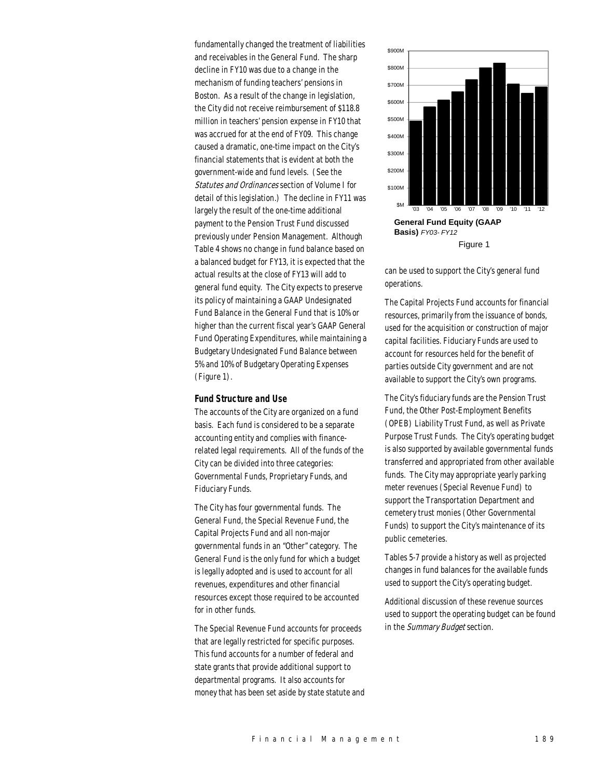fundamentally changed the treatment of liabilities and receivables in the General Fund. The sharp decline in FY10 was due to a change in the mechanism of funding teachers' pensions in Boston. As a result of the change in legislation, the City did not receive reimbursement of \$118.8 million in teachers' pension expense in FY10 that was accrued for at the end of FY09. This change caused a dramatic, one-time impact on the City's financial statements that is evident at both the government-wide and fund levels. (See the Statutes and Ordinances section of Volume I for detail of this legislation.) The decline in FY11 was largely the result of the one-time additional payment to the Pension Trust Fund discussed previously under Pension Management. Although Table 4 shows no change in fund balance based on a balanced budget for FY13, it is expected that the actual results at the close of FY13 will add to general fund equity. The City expects to preserve its policy of maintaining a GAAP Undesignated Fund Balance in the General Fund that is 10% or higher than the current fiscal year's GAAP General Fund Operating Expenditures, while maintaining a Budgetary Undesignated Fund Balance between 5% and 10% of Budgetary Operating Expenses (Figure 1).

#### *Fund Structure and Use*

The accounts of the City are organized on a fund basis. Each fund is considered to be a separate accounting entity and complies with financerelated legal requirements. All of the funds of the City can be divided into three categories: Governmental Funds, Proprietary Funds, and Fiduciary Funds.

The City has four governmental funds. The General Fund, the Special Revenue Fund, the Capital Projects Fund and all non-major governmental funds in an "Other" category. The General Fund is the only fund for which a budget is legally adopted and is used to account for all revenues, expenditures and other financial resources except those required to be accounted for in other funds.

The Special Revenue Fund accounts for proceeds that are legally restricted for specific purposes. This fund accounts for a number of federal and state grants that provide additional support to departmental programs. It also accounts for money that has been set aside by state statute and



can be used to support the City's general fund operations.

The Capital Projects Fund accounts for financial resources, primarily from the issuance of bonds, used for the acquisition or construction of major capital facilities. Fiduciary Funds are used to account for resources held for the benefit of parties outside City government and are not available to support the City's own programs.

The City's fiduciary funds are the Pension Trust Fund, the Other Post-Employment Benefits (OPEB) Liability Trust Fund, as well as Private Purpose Trust Funds. The City's operating budget is also supported by available governmental funds transferred and appropriated from other available funds. The City may appropriate yearly parking meter revenues (Special Revenue Fund) to support the Transportation Department and cemetery trust monies (Other Governmental Funds) to support the City's maintenance of its public cemeteries.

Tables 5-7 provide a history as well as projected changes in fund balances for the available funds used to support the City's operating budget.

Additional discussion of these revenue sources used to support the operating budget can be found in the Summary Budget section.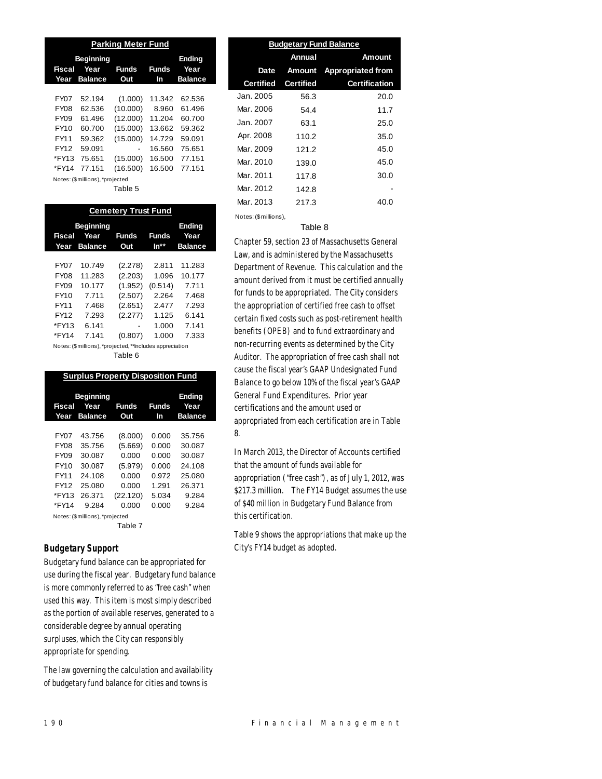| <b>Parking Meter Fund</b>  |                                 |          |        |                |  |  |  |  |
|----------------------------|---------------------------------|----------|--------|----------------|--|--|--|--|
| <b>Beginning</b><br>Fiscal | Ending<br>Year                  |          |        |                |  |  |  |  |
| Year                       | <b>Balance</b>                  | Out      | In     | <b>Balance</b> |  |  |  |  |
|                            |                                 |          |        |                |  |  |  |  |
| FY07                       | 52.194                          | (1.000)  | 11.342 | 62.536         |  |  |  |  |
| <b>FY08</b>                | 62.536                          | (10.000) | 8.960  | 61.496         |  |  |  |  |
| FY09                       | 61.496                          | (12.000) | 11.204 | 60.700         |  |  |  |  |
| FY10                       | 60.700                          | (15.000) | 13.662 | 59.362         |  |  |  |  |
| FY11                       | 59.362                          | (15.000) | 14.729 | 59.091         |  |  |  |  |
| FY12                       | 59.091                          |          | 16.560 | 75.651         |  |  |  |  |
| *FY13                      | 75.651                          | (15.000) | 16.500 | 77.151         |  |  |  |  |
| *FY14                      | 77.151                          | (16.500) | 16.500 | 77.151         |  |  |  |  |
|                            | Notes: (\$millions), *projected |          |        |                |  |  |  |  |

Table 5

| <b>Cemetery Trust Fund</b> |                                                          |                     |                      |                        |  |  |  |  |  |
|----------------------------|----------------------------------------------------------|---------------------|----------------------|------------------------|--|--|--|--|--|
|                            | <b>Beginning</b>                                         |                     |                      |                        |  |  |  |  |  |
| Fiscal<br>Year             | Year<br><b>Balance</b>                                   | <b>Funds</b><br>Out | <b>Funds</b><br>ln** | Year<br><b>Balance</b> |  |  |  |  |  |
|                            |                                                          |                     |                      |                        |  |  |  |  |  |
| <b>FY07</b>                | 10.749                                                   | (2.278)             | 2.811                | 11.283                 |  |  |  |  |  |
| <b>FY08</b>                | 11.283                                                   | (2.203)             | 1.096                | 10.177                 |  |  |  |  |  |
| FY09                       | 10.177                                                   | (1.952)             | (0.514)              | 7.711                  |  |  |  |  |  |
| FY10                       | 7.711                                                    | (2.507)             | 2.264                | 7.468                  |  |  |  |  |  |
| FY11                       | 7.468                                                    | (2.651)             | 2.477                | 7.293                  |  |  |  |  |  |
| FY12                       | 7.293                                                    | (2.277)             | 1.125                | 6.141                  |  |  |  |  |  |
| *FY13                      | 6.141                                                    |                     | 1.000                | 7.141                  |  |  |  |  |  |
| *FY14                      | 7.141                                                    | (0.807)             | 1.000                | 7.333                  |  |  |  |  |  |
|                            | Notes: (\$millions), *projected, **Includes appreciation |                     |                      |                        |  |  |  |  |  |

Table 6

|                | <b>Surplus Property Disposition Fund</b>   |                     |                    |                                  |  |  |  |  |  |  |
|----------------|--------------------------------------------|---------------------|--------------------|----------------------------------|--|--|--|--|--|--|
| Fiscal<br>Year | <b>Beginning</b><br>Year<br><b>Balance</b> | <b>Funds</b><br>Out | <b>Funds</b><br>In | Ending<br>Year<br><b>Balance</b> |  |  |  |  |  |  |
|                |                                            |                     |                    |                                  |  |  |  |  |  |  |
| <b>FY07</b>    | 43.756                                     | (8.000)             | 0.000              | 35.756                           |  |  |  |  |  |  |
| <b>FY08</b>    | 35.756                                     | (5.669)             | 0.000              | 30.087                           |  |  |  |  |  |  |
| <b>FY09</b>    | 30.087                                     | 0.000               | 0.000              | 30.087                           |  |  |  |  |  |  |
| FY10           | 30.087                                     | (5.979)             | 0.000              | 24.108                           |  |  |  |  |  |  |
| FY11           | 24.108                                     | 0.000               | 0.972              | 25.080                           |  |  |  |  |  |  |
| FY12           | 25.080                                     | 0.000               | 1.291              | 26.371                           |  |  |  |  |  |  |
| *FY13          | 26.371                                     | (22.120)            | 5.034              | 9.284                            |  |  |  |  |  |  |
| *FY14          | 9.284                                      | 0.000               | 0.000              | 9.284                            |  |  |  |  |  |  |
|                | Notes: (\$millions), *projected            |                     |                    |                                  |  |  |  |  |  |  |
|                |                                            | エーレー・フ              |                    |                                  |  |  |  |  |  |  |

#### Table 7

# *Budgetary Support*

Budgetary fund balance can be appropriated for use during the fiscal year. Budgetary fund balance is more commonly referred to as "free cash" when used this way. This item is most simply described as the portion of available reserves, generated to a considerable degree by annual operating surpluses, which the City can responsibly appropriate for spending.

The law governing the calculation and availability of budgetary fund balance for cities and towns is

| <b>Budgetary Fund Balance</b> |                  |                          |  |  |  |  |  |  |
|-------------------------------|------------------|--------------------------|--|--|--|--|--|--|
|                               | Annual           | Amount                   |  |  |  |  |  |  |
| Date                          | Amount           | <b>Appropriated from</b> |  |  |  |  |  |  |
| <b>Certified</b>              | <b>Certified</b> | <b>Certification</b>     |  |  |  |  |  |  |
| Jan. 2005.                    | 56.3             | 20.0                     |  |  |  |  |  |  |
| Mar. 2006                     | 54.4             | 11.7                     |  |  |  |  |  |  |
| Jan. 2007.                    | 63.1             | 25.0                     |  |  |  |  |  |  |
| Apr. 2008                     | 110.2            | 35.0                     |  |  |  |  |  |  |
| Mar. 2009                     | 121.2            | 45.0                     |  |  |  |  |  |  |
| Mar. 2010                     | 139.0            | 45.0                     |  |  |  |  |  |  |
| Mar. 2011                     | 117.8            | 30.0                     |  |  |  |  |  |  |
| Mar. 2012                     | 142.8            |                          |  |  |  |  |  |  |
| Mar. 2013                     | 217.3            | 40.0                     |  |  |  |  |  |  |
|                               |                  |                          |  |  |  |  |  |  |

#### Table 8

Notes: (\$millions),

Chapter 59, section 23 of Massachusetts General Law, and is administered by the Massachusetts Department of Revenue. This calculation and the amount derived from it must be certified annually for funds to be appropriated. The City considers the appropriation of certified free cash to offset certain fixed costs such as post-retirement health benefits (OPEB) and to fund extraordinary and non-recurring events as determined by the City Auditor. The appropriation of free cash shall not cause the fiscal year's GAAP Undesignated Fund Balance to go below 10% of the fiscal year's GAAP General Fund Expenditures. Prior year certifications and the amount used or appropriated from each certification are in Table 8.

In March 2013, the Director of Accounts certified that the amount of funds available for appropriation ("free cash"), as of July 1, 2012, was \$217.3 million. The FY14 Budget assumes the use of \$40 million in Budgetary Fund Balance from this certification.

Table 9 shows the appropriations that make up the City's FY14 budget as adopted.